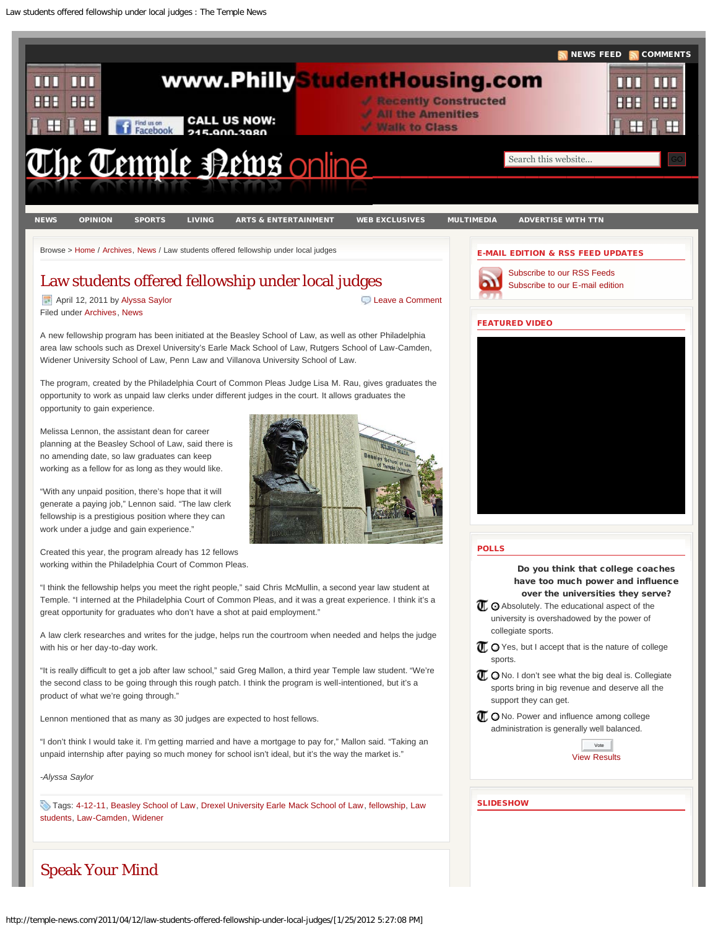<span id="page-0-0"></span>

http://temple-news.com/2011/04/12/law-students-offered-fellowship-under-local-judges/[1/25/2012 5:27:08 PM]